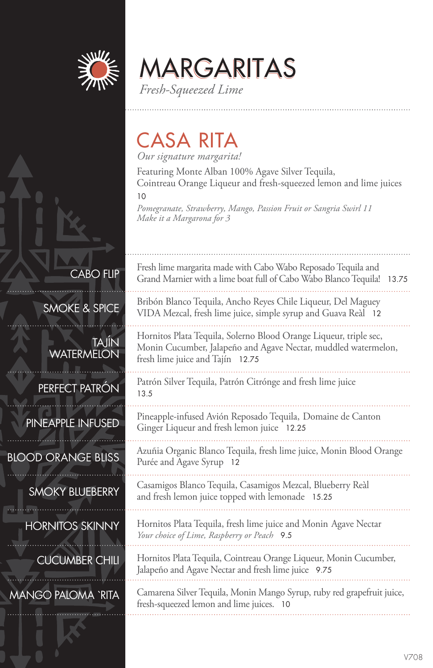

**ABO FLIP** 

TAJÍN

SMOKE & SPICE

**WATERMELON** 

MARGARITAS *Fresh-Squeezed Lime*

CASA RITA

*Our signature margarita!*

Featuring Monte Alban 100% Agave Silver Tequila, Cointreau Orange Liqueur and fresh-squeezed lemon and lime juices

10

*Pomegranate, Strawberry, Mango, Passion Fruit or Sangria Swirl 11 Make it a Margarona for 3*

| Fresh lime margarita made with Cabo Wabo Reposado Tequila and<br>Grand Marnier with a lime boat full of Cabo Wabo Blanco Tequila! 13.75 |  |
|-----------------------------------------------------------------------------------------------------------------------------------------|--|
| Bribón Blanco Tequila, Ancho Reyes Chile Liqueur, Del Maguey<br>VIDA Mezcal, fresh lime juice, simple syrup and Guava Reàl 12           |  |

Hornitos Plata Tequila, Solerno Blood Orange Liqueur, triple sec, Monin Cucumber, Jalapeño and Agave Nectar, muddled watermelon, fresh lime juice and Tajín 12.75

Patrón Silver Tequila, Patrón Citrónge and fresh lime juice 13.5

Pineapple-infused Avión Reposado Tequila, Domaine de Canton Ginger Liqueur and fresh lemon juice 12.25

Azuñia Organic Blanco Tequila, fresh lime juice, Monin Blood Orange Purée and Agave Syrup 12

Casamigos Blanco Tequila, Casamigos Mezcal, Blueberry Reàl and fresh lemon juice topped with lemonade 15.25

Hornitos Plata Tequila, fresh lime juice and Monin Agave Nectar *Your choice of Lime, Raspberry or Peach* 9.5

Hornitos Plata Tequila, Cointreau Orange Liqueur, Monin Cucumber, Jalapeño and Agave Nectar and fresh lime juice 9.75

Camarena Silver Tequila, Monin Mango Syrup, ruby red grapefruit juice, fresh-squeezed lemon and lime juices. 10

PERFECT PATRÓN PINEAPPLE INFUSED

BLOOD ORANGE BLISS

SMOKY BLUEBERRY

HORNITOS SKINNY

CUCUMBER CHILI

MANGO PALOMA `RITA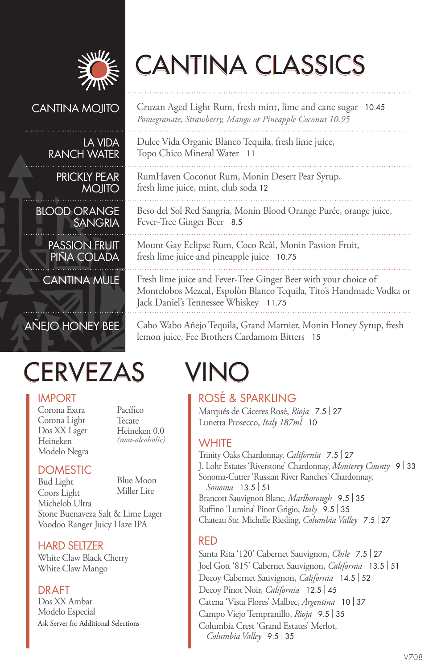

# CANTINA CLASSICS

Dulce Vida Organic Blanco Tequila, fresh lime juice,

RumHaven Coconut Rum, Monin Desert Pear Syrup,

Topo Chico Mineral Water 11

Fever-Tree Ginger Beer 8.5

fresh lime juice, mint, club soda 12

Cruzan Aged Light Rum, fresh mint, lime and cane sugar 10.45 *Pomegranate, Strawberry, Mango or Pineapple Coconut 10.95*

Beso del Sol Red Sangria, Monin Blood Orange Purée, orange juice,

Mount Gay Eclipse Rum, Coco Reàl, Monin Passion Fruit,

Fresh lime juice and Fever-Tree Ginger Beer with your choice of Montelobos Mezcal, Espolòn Blanco Tequila, Tito's Handmade Vodka or

#### CANTINA MOJITO

#### LA VIDA RANCH WATER

PRICKLY PEAR MOJITO

BLOOD ORANGE SANGRIA

PASSION FRUIT PINA COLADA

CANTINA MULE

### AÑEJO HONEY BEE

## CERVEZAS VINO

#### IMPORT

Corona Extra Corona Light Dos XX Lager Heineken Modelo Negra Pacífico Tecate Heineken 0.0 *(non-alcoholic)*

### **DOMESTIC**

Bud Light Coors Light Michelob Ultra Blue Moon Miller Lite Stone Buenaveza Salt & Lime Lager Voodoo Ranger Juicy Haze IPA

#### HARD SELTZER

White Claw Black Cherry White Claw Mango

#### DRAFT

Dos XX Ambar Modelo Especial Ask Server for Additional Selections

lemon juice, Fee Brothers Cardamom Bitters 15

fresh lime juice and pineapple juice 10.75

Jack Daniel's Tennessee Whiskey 11.75

ROSÉ & SPARKLING Marqués de Cáceres Rosé, *Rioja* 7.5 | <sup>27</sup> Lunetta Prosecco, *Italy 187ml* 10

Cabo Wabo Añejo Tequila, Grand Marnier, Monin Honey Syrup, fresh

### **WHITE**

Trinity Oaks Chardonnay, *California* 7.5 | <sup>27</sup> J. Lohr Estates 'Riverstone' Chardonnay, *Monterey County* <sup>9</sup>| <sup>33</sup> Sonoma-Cutrer 'Russian River Ranches' Chardonnay, *Sonoma* 13.5 | <sup>51</sup> Brancott Sauvignon Blanc, *Marlborough* 9.5 | <sup>35</sup> Ruffino 'Lumina' Pinot Grigio, *Italy* 9.5 | <sup>35</sup> Chateau Ste. Michelle Riesling, *Columbia Valley* 7.5 | <sup>27</sup>

#### RED

Santa Rita '120' Cabernet Sauvignon, *Chile* 7.5 | <sup>27</sup> Joel Gott '815' Cabernet Sauvignon, *California* 13.5 | <sup>51</sup> Decoy Cabernet Sauvignon, *California* 14.5 | <sup>52</sup> Decoy Pinot Noir, *California* 12.5 | <sup>45</sup> Catena 'Vista Flores' Malbec, *Argentina* <sup>10</sup>| <sup>37</sup> Campo Viejo Tempranillo, *Rioja* 9.5 | <sup>35</sup> Columbia Crest 'Grand Estates' Merlot, *Columbia Valley* 9.5 | <sup>35</sup>